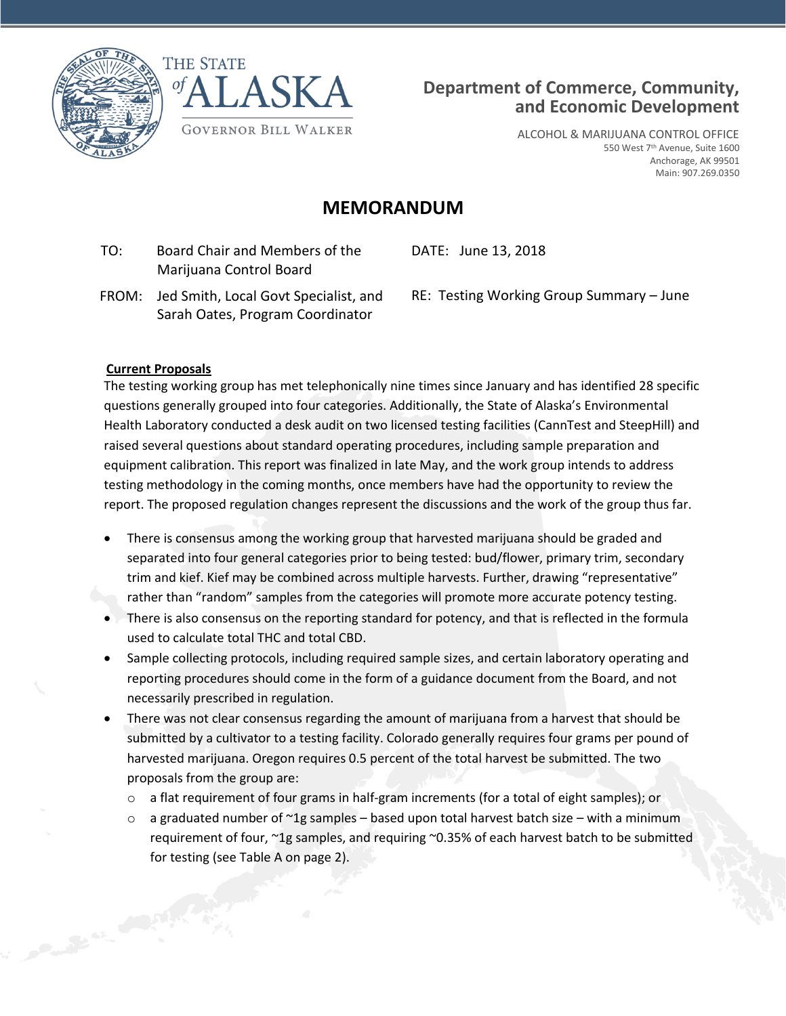





ALCOHOL & MARIJUANA CONTROL OFFICE 550 West 7<sup>th</sup> Avenue, Suite 1600 Anchorage, AK 99501 Main: 907.269.0350

## **MEMORANDUM**

 TO: Board Chair and Members of the Marijuana Control Board

DATE: June 13, 2018

 FROM: Jed Smith, Local Govt Specialist, and Sarah Oates, Program Coordinator

RE: Testing Working Group Summary – June

## **Current Proposals**

Canal Marian

The testing working group has met telephonically nine times since January and has identified 28 specific questions generally grouped into four categories. Additionally, the State of Alaska's Environmental Health Laboratory conducted a desk audit on two licensed testing facilities (CannTest and SteepHill) and raised several questions about standard operating procedures, including sample preparation and equipment calibration. This report was finalized in late May, and the work group intends to address testing methodology in the coming months, once members have had the opportunity to review the report. The proposed regulation changes represent the discussions and the work of the group thus far.

- There is consensus among the working group that harvested marijuana should be graded and separated into four general categories prior to being tested: bud/flower, primary trim, secondary trim and kief. Kief may be combined across multiple harvests. Further, drawing "representative" rather than "random" samples from the categories will promote more accurate potency testing.
- There is also consensus on the reporting standard for potency, and that is reflected in the formula used to calculate total THC and total CBD.
- Sample collecting protocols, including required sample sizes, and certain laboratory operating and reporting procedures should come in the form of a guidance document from the Board, and not necessarily prescribed in regulation.
- There was not clear consensus regarding the amount of marijuana from a harvest that should be submitted by a cultivator to a testing facility. Colorado generally requires four grams per pound of harvested marijuana. Oregon requires 0.5 percent of the total harvest be submitted. The two proposals from the group are:
	- $\circ$  a flat requirement of four grams in half-gram increments (for a total of eight samples); or
	- $\circ$  a graduated number of  $\sim$ 1g samples based upon total harvest batch size with a minimum requirement of four, ~1g samples, and requiring ~0.35% of each harvest batch to be submitted for testing (see Table A on page 2).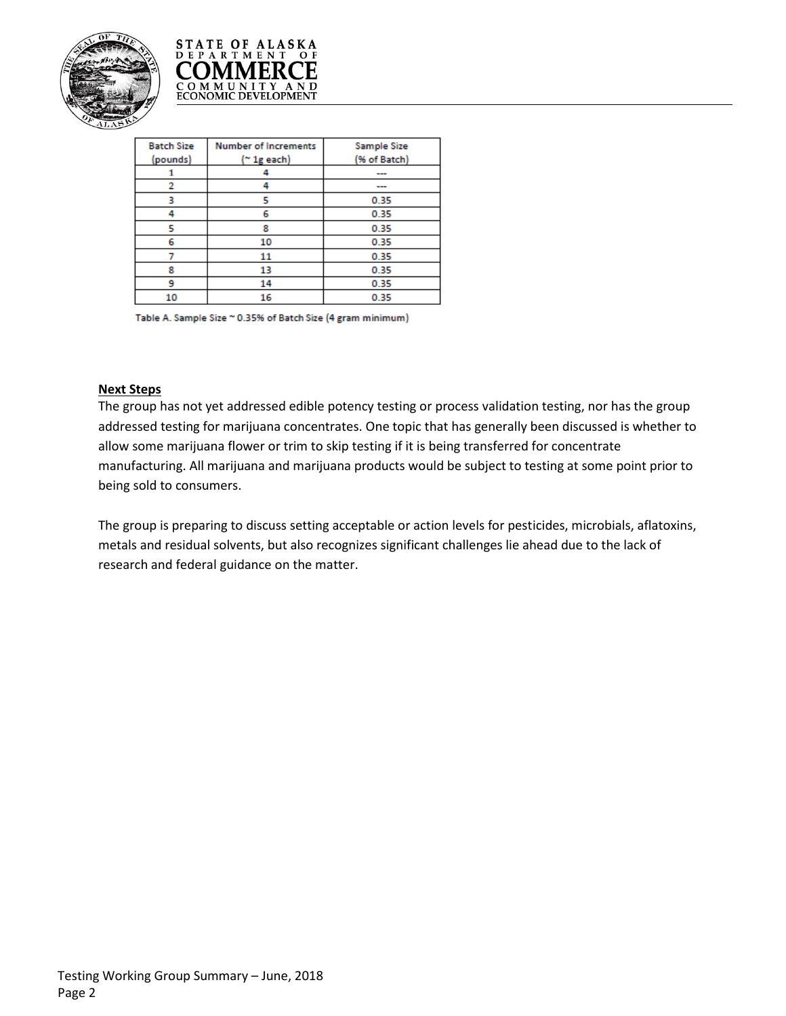



| <b>Batch Size</b> | <b>Number of Increments</b> | Sample Size  |
|-------------------|-----------------------------|--------------|
| (pounds)          | (~ 1g each)                 | (% of Batch) |
| 1                 | 4                           |              |
| 2                 | 4                           |              |
| з                 | 5                           | 0.35         |
| 4                 | 6                           | 0.35         |
| 5                 | 8                           | 0.35         |
| 6                 | 10                          | 0.35         |
|                   | 11                          | 0.35         |
| 8                 | 13                          | 0.35         |
| 9                 | 14                          | 0.35         |
| 10                | 16                          | 0.35         |
|                   |                             |              |

Table A. Sample Size ~ 0.35% of Batch Size (4 gram minimum)

## **Next Steps**

The group has not yet addressed edible potency testing or process validation testing, nor has the group addressed testing for marijuana concentrates. One topic that has generally been discussed is whether to allow some marijuana flower or trim to skip testing if it is being transferred for concentrate manufacturing. All marijuana and marijuana products would be subject to testing at some point prior to being sold to consumers.

The group is preparing to discuss setting acceptable or action levels for pesticides, microbials, aflatoxins, metals and residual solvents, but also recognizes significant challenges lie ahead due to the lack of research and federal guidance on the matter.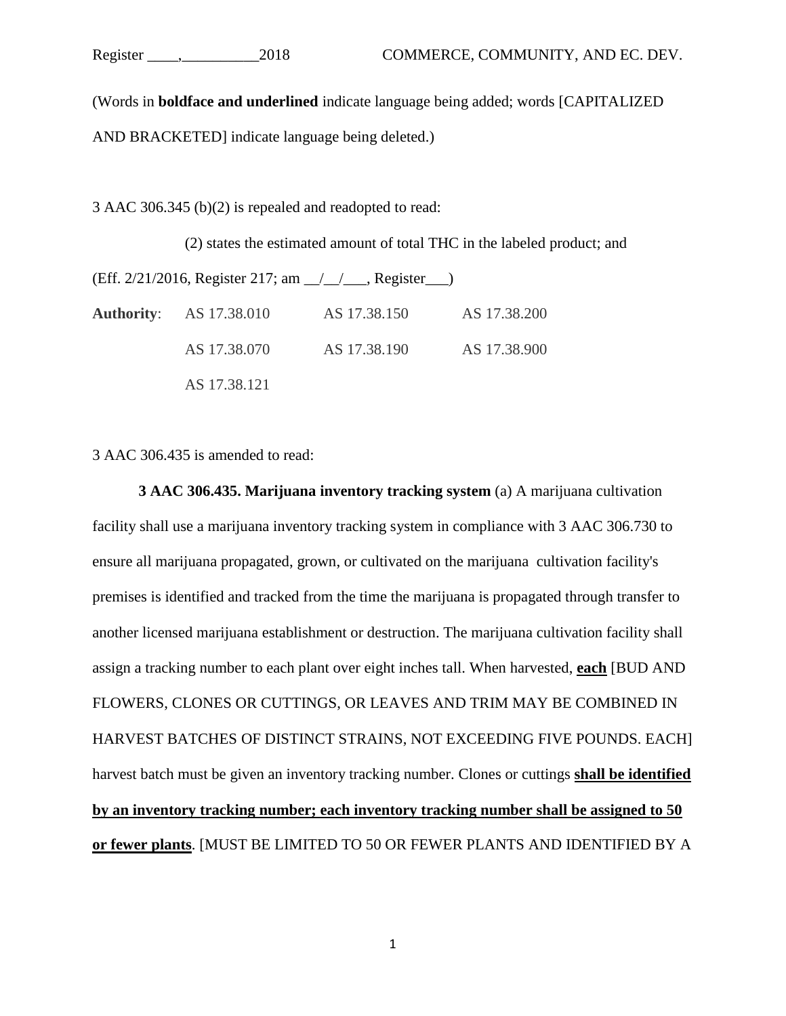(Words in **boldface and underlined** indicate language being added; words [CAPITALIZED AND BRACKETED] indicate language being deleted.)

3 AAC 306.345 (b)(2) is repealed and readopted to read:

(2) states the estimated amount of total THC in the labeled product; and

(Eff. 2/21/2016, Register 217; am \_\_/\_\_/\_\_\_, Register\_\_\_) **Authority**: AS 17.38.010 AS 17.38.150 AS 17.38.200 AS 17.38.070 AS 17.38.190 AS 17.38.900 AS 17.38.121

3 AAC 306.435 is amended to read:

**3 AAC 306.435. Marijuana inventory tracking system** (a) A marijuana cultivation facility shall use a marijuana inventory tracking system in compliance with 3 AAC 306.730 to ensure all marijuana propagated, grown, or cultivated on the marijuana cultivation facility's premises is identified and tracked from the time the marijuana is propagated through transfer to another licensed marijuana establishment or destruction. The marijuana cultivation facility shall assign a tracking number to each plant over eight inches tall. When harvested, **each** [BUD AND FLOWERS, CLONES OR CUTTINGS, OR LEAVES AND TRIM MAY BE COMBINED IN HARVEST BATCHES OF DISTINCT STRAINS, NOT EXCEEDING FIVE POUNDS. EACH] harvest batch must be given an inventory tracking number. Clones or cuttings **shall be identified by an inventory tracking number; each inventory tracking number shall be assigned to 50 or fewer plants**. [MUST BE LIMITED TO 50 OR FEWER PLANTS AND IDENTIFIED BY A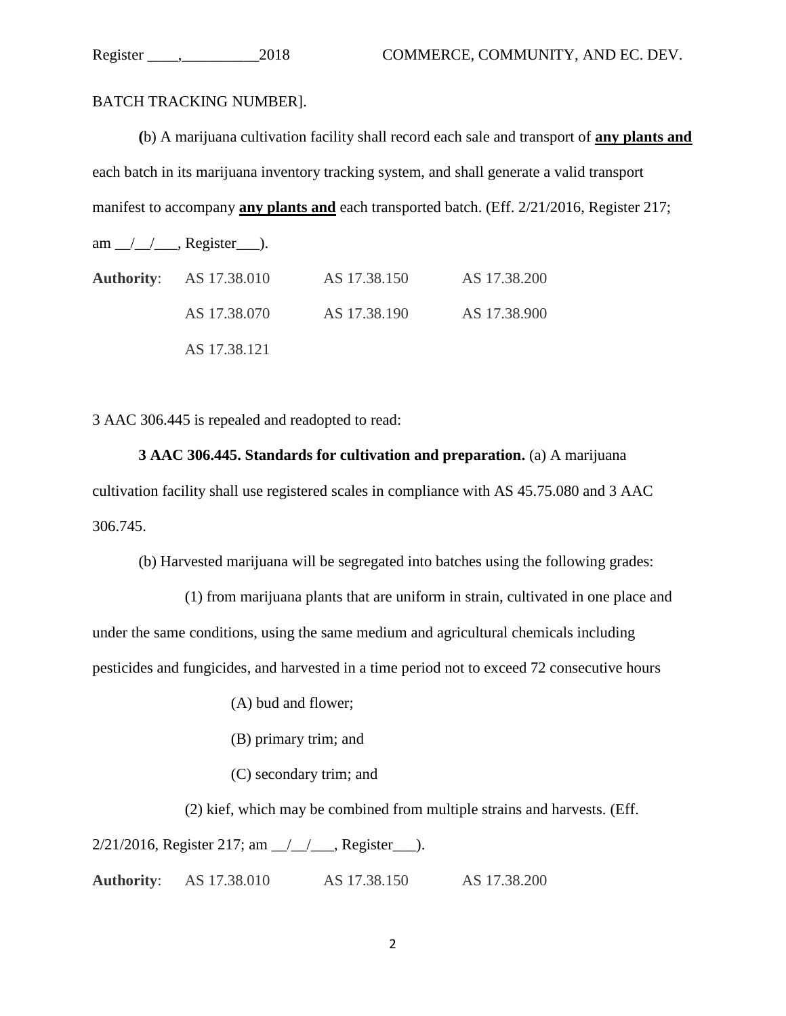BATCH TRACKING NUMBER].

**(**b) A marijuana cultivation facility shall record each sale and transport of **any plants and**  each batch in its marijuana inventory tracking system, and shall generate a valid transport manifest to accompany **any plants and** each transported batch. (Eff. 2/21/2016, Register 217;

am  $\angle$   $\angle$   $\angle$  Register  $\angle$ .

| <b>Authority:</b> AS 17.38.010 | AS 17.38.150 | AS 17.38.200 |
|--------------------------------|--------------|--------------|
| AS 17.38.070                   | AS 17.38.190 | AS 17.38.900 |
| AS 17.38.121                   |              |              |

3 AAC 306.445 is repealed and readopted to read:

**3 AAC 306.445. Standards for cultivation and preparation.** (a) A marijuana cultivation facility shall use registered scales in compliance with AS 45.75.080 and 3 AAC 306.745.

(b) Harvested marijuana will be segregated into batches using the following grades:

(1) from marijuana plants that are uniform in strain, cultivated in one place and under the same conditions, using the same medium and agricultural chemicals including pesticides and fungicides, and harvested in a time period not to exceed 72 consecutive hours

(A) bud and flower;

(B) primary trim; and

(C) secondary trim; and

(2) kief, which may be combined from multiple strains and harvests. (Eff.

 $2/21/2016$ , Register 217; am  $\frac{1}{2}$ , Register  $\frac{1}{2}$ .

**Authority**: AS 17.38.010 AS 17.38.150 AS 17.38.200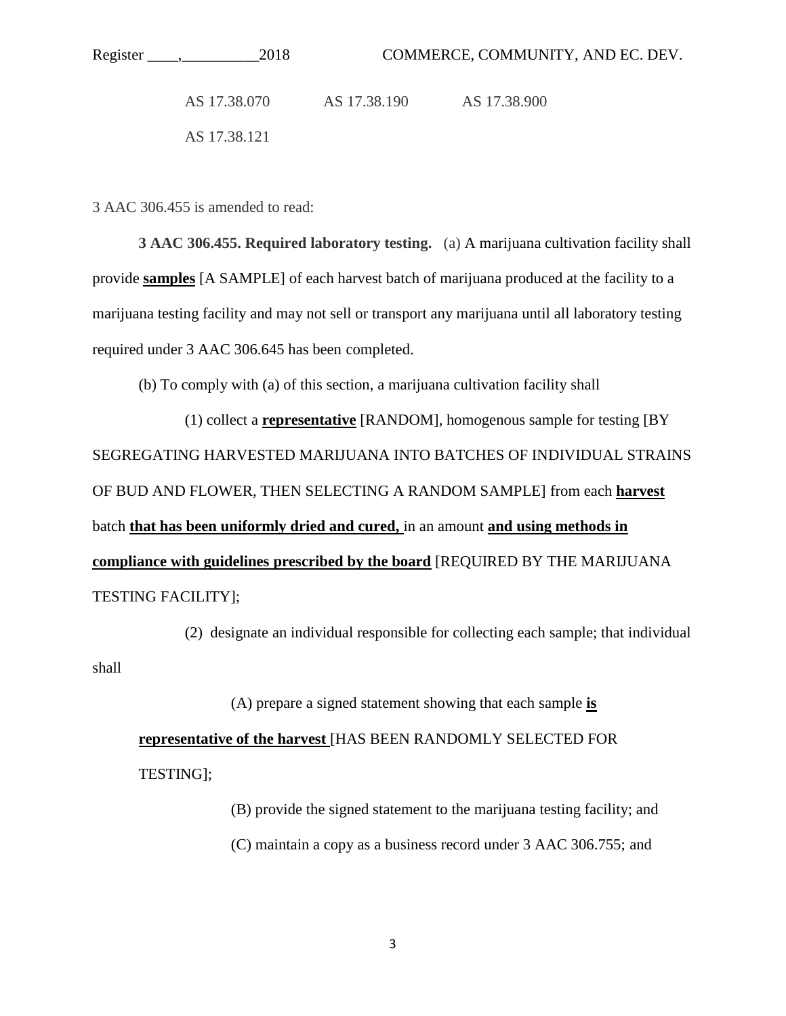AS 17.38.070 AS 17.38.190 AS 17.38.900 AS 17.38.121

3 AAC 306.455 is amended to read:

**3 AAC 306.455. Required laboratory testing.** (a) A marijuana cultivation facility shall provide **samples** [A SAMPLE] of each harvest batch of marijuana produced at the facility to a marijuana testing facility and may not sell or transport any marijuana until all laboratory testing required under 3 AAC 306.645 has been completed.

(b) To comply with (a) of this section, a marijuana cultivation facility shall

(1) collect a **representative** [RANDOM], homogenous sample for testing [BY SEGREGATING HARVESTED MARIJUANA INTO BATCHES OF INDIVIDUAL STRAINS OF BUD AND FLOWER, THEN SELECTING A RANDOM SAMPLE] from each **harvest** batch **that has been uniformly dried and cured,** in an amount **and using methods in compliance with guidelines prescribed by the board** [REQUIRED BY THE MARIJUANA TESTING FACILITY];

(2) designate an individual responsible for collecting each sample; that individual shall

(A) prepare a signed statement showing that each sample **is representative of the harvest** [HAS BEEN RANDOMLY SELECTED FOR TESTING];

> (B) provide the signed statement to the marijuana testing facility; and (C) maintain a copy as a business record under 3 AAC 306.755; and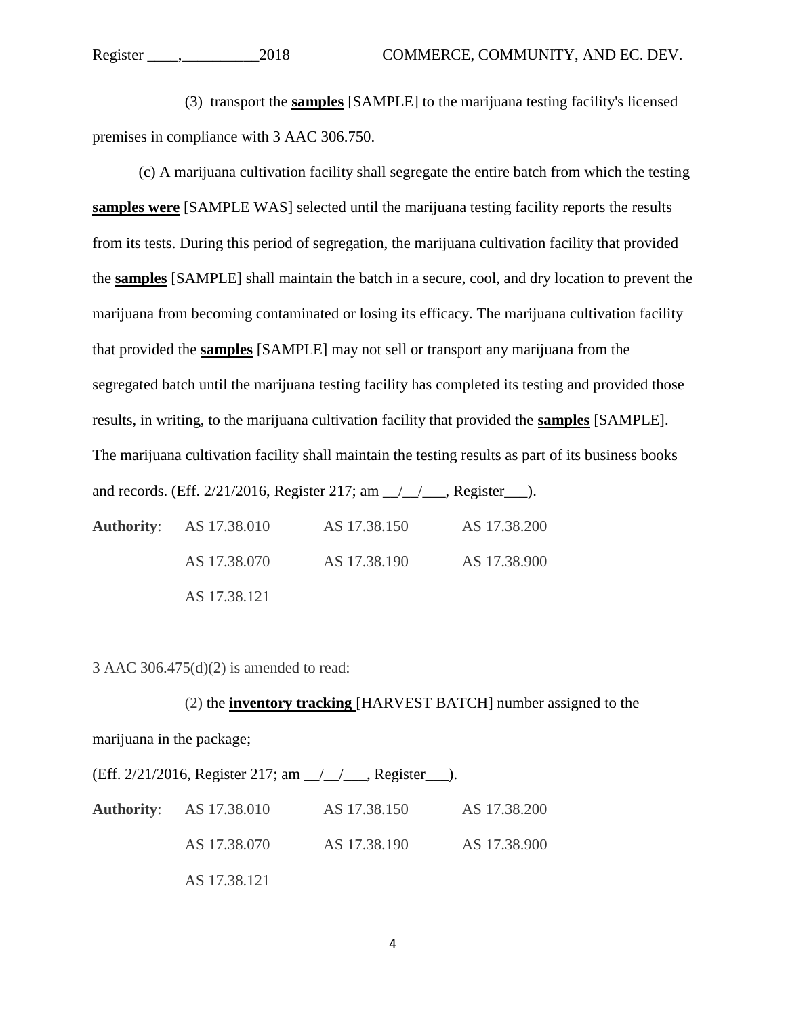(3) transport the **samples** [SAMPLE] to the marijuana testing facility's licensed premises in compliance with 3 AAC 306.750.

(c) A marijuana cultivation facility shall segregate the entire batch from which the testing **samples were** [SAMPLE WAS] selected until the marijuana testing facility reports the results from its tests. During this period of segregation, the marijuana cultivation facility that provided the **samples** [SAMPLE] shall maintain the batch in a secure, cool, and dry location to prevent the marijuana from becoming contaminated or losing its efficacy. The marijuana cultivation facility that provided the **samples** [SAMPLE] may not sell or transport any marijuana from the segregated batch until the marijuana testing facility has completed its testing and provided those results, in writing, to the marijuana cultivation facility that provided the **samples** [SAMPLE]. The marijuana cultivation facility shall maintain the testing results as part of its business books and records. (Eff. 2/21/2016, Register 217; am \_\_/\_\_/\_\_\_, Register \_\_\_\_). **Authority**: AS 17.38.010 AS 17.38.150 AS 17.38.200 AS 17.38.070 AS 17.38.190 AS 17.38.900 AS 17.38.121

3 AAC 306.475(d)(2) is amended to read:

(2) the **inventory tracking** [HARVEST BATCH] number assigned to the marijuana in the package; (Eff. 2/21/2016, Register 217; am \_\_/\_\_/\_\_\_, Register\_\_\_). **Authority**: AS 17.38.010 AS 17.38.150 AS 17.38.200

AS 17.38.070 AS 17.38.190 AS 17.38.900 AS 17.38.121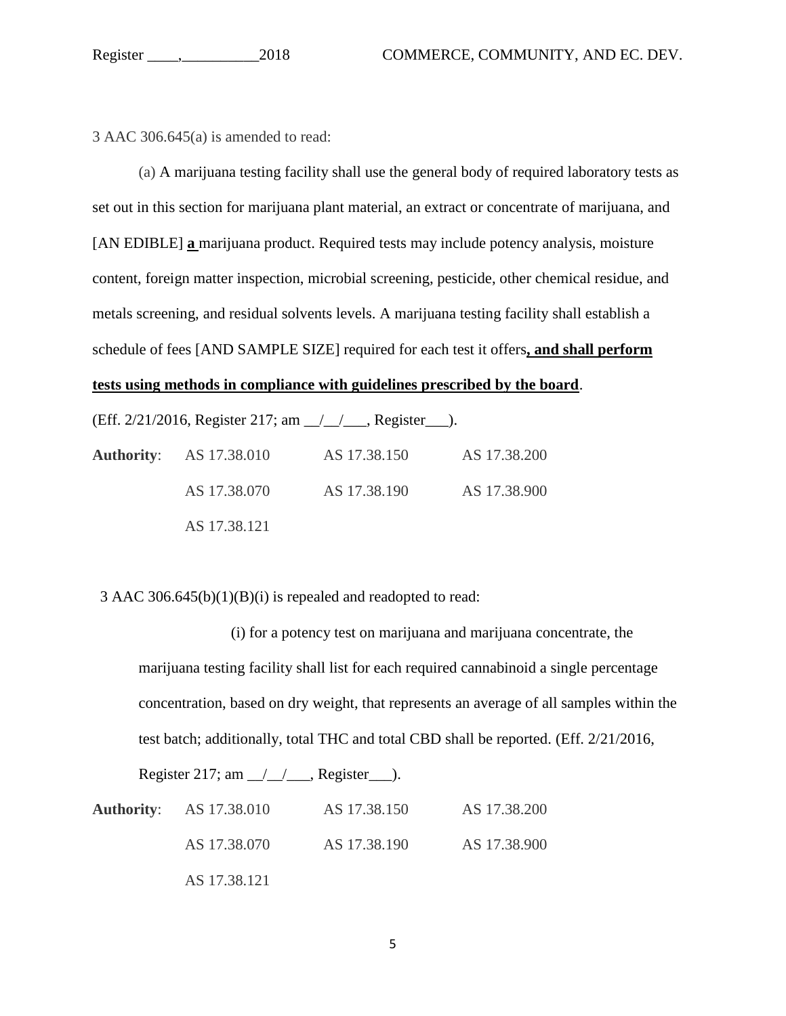3 AAC 306.645(a) is amended to read:

(a) A marijuana testing facility shall use the general body of required laboratory tests as set out in this section for marijuana plant material, an extract or concentrate of marijuana, and [AN EDIBLE] **a** marijuana product. Required tests may include potency analysis, moisture content, foreign matter inspection, microbial screening, pesticide, other chemical residue, and metals screening, and residual solvents levels. A marijuana testing facility shall establish a schedule of fees [AND SAMPLE SIZE] required for each test it offers**, and shall perform tests using methods in compliance with guidelines prescribed by the board**.

(Eff. 2/21/2016, Register 217; am \_\_/\_\_/\_\_\_, Register\_\_\_).

**Authority**: AS 17.38.010 AS 17.38.150 AS 17.38.200 AS 17.38.070 AS 17.38.190 AS 17.38.900 AS 17.38.121

3 AAC 306.645(b)(1)(B)(i) is repealed and readopted to read:

(i) for a potency test on marijuana and marijuana concentrate, the marijuana testing facility shall list for each required cannabinoid a single percentage concentration, based on dry weight, that represents an average of all samples within the test batch; additionally, total THC and total CBD shall be reported. (Eff. 2/21/2016,

Register 217; am  $\angle$   $\angle$   $\angle$  Register  $\angle$ .

| <b>Authority:</b> AS 17.38.010 | AS 17.38.150 | AS 17.38.200 |
|--------------------------------|--------------|--------------|
| AS 17.38.070                   | AS 17.38.190 | AS 17.38.900 |
| AS 17.38.121                   |              |              |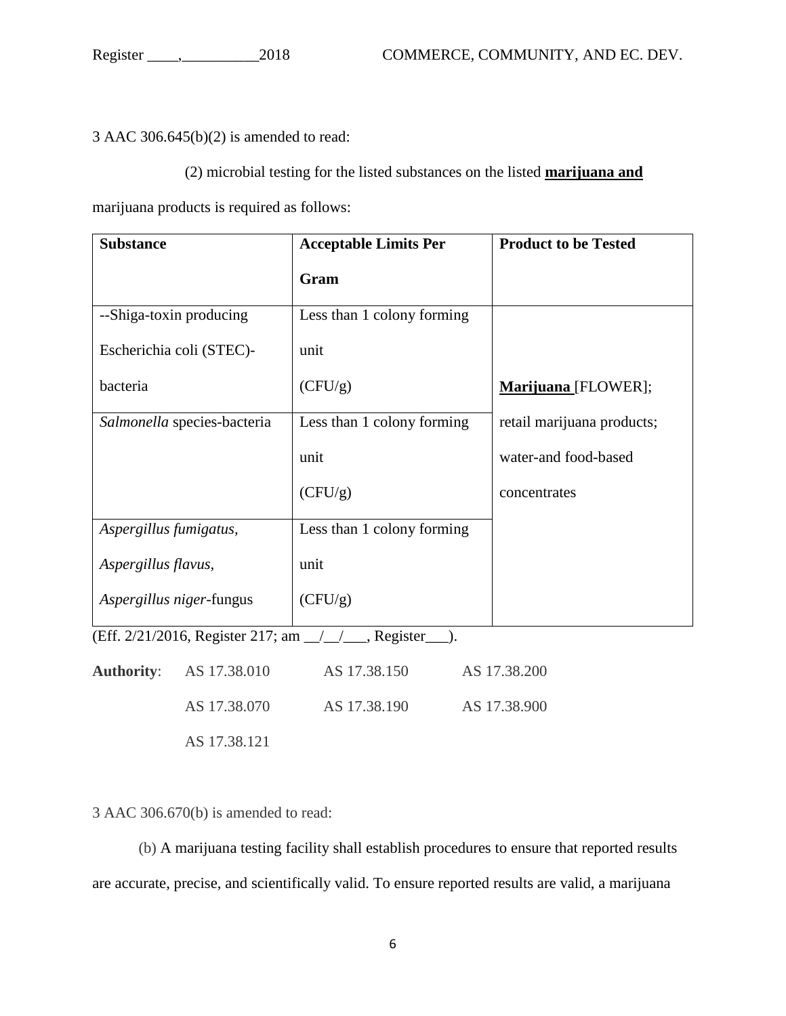3 AAC 306.645(b)(2) is amended to read:

(2) microbial testing for the listed substances on the listed **marijuana and**

marijuana products is required as follows:

| <b>Substance</b>            | <b>Acceptable Limits Per</b> | <b>Product to be Tested</b> |
|-----------------------------|------------------------------|-----------------------------|
|                             | Gram                         |                             |
| --Shiga-toxin producing     | Less than 1 colony forming   |                             |
| Escherichia coli (STEC)-    | unit                         |                             |
| bacteria                    | (CFU/g)                      | Marijuana [FLOWER];         |
| Salmonella species-bacteria | Less than 1 colony forming   | retail marijuana products;  |
|                             | unit                         | water-and food-based        |
|                             | (CFU/g)                      | concentrates                |
| Aspergillus fumigatus,      | Less than 1 colony forming   |                             |
| Aspergillus flavus,         | unit                         |                             |
| Aspergillus niger-fungus    | (CFU/g)                      |                             |

(Eff. 2/21/2016, Register 217; am \_\_/\_\_/\_\_\_, Register\_\_\_).

| <b>Authority:</b> AS 17.38.010 | AS 17.38.150 | AS 17.38.200 |
|--------------------------------|--------------|--------------|
| AS 17.38.070                   | AS 17.38.190 | AS 17.38.900 |
| AS 17.38.121                   |              |              |

3 AAC 306.670(b) is amended to read:

(b) A marijuana testing facility shall establish procedures to ensure that reported results are accurate, precise, and scientifically valid. To ensure reported results are valid, a marijuana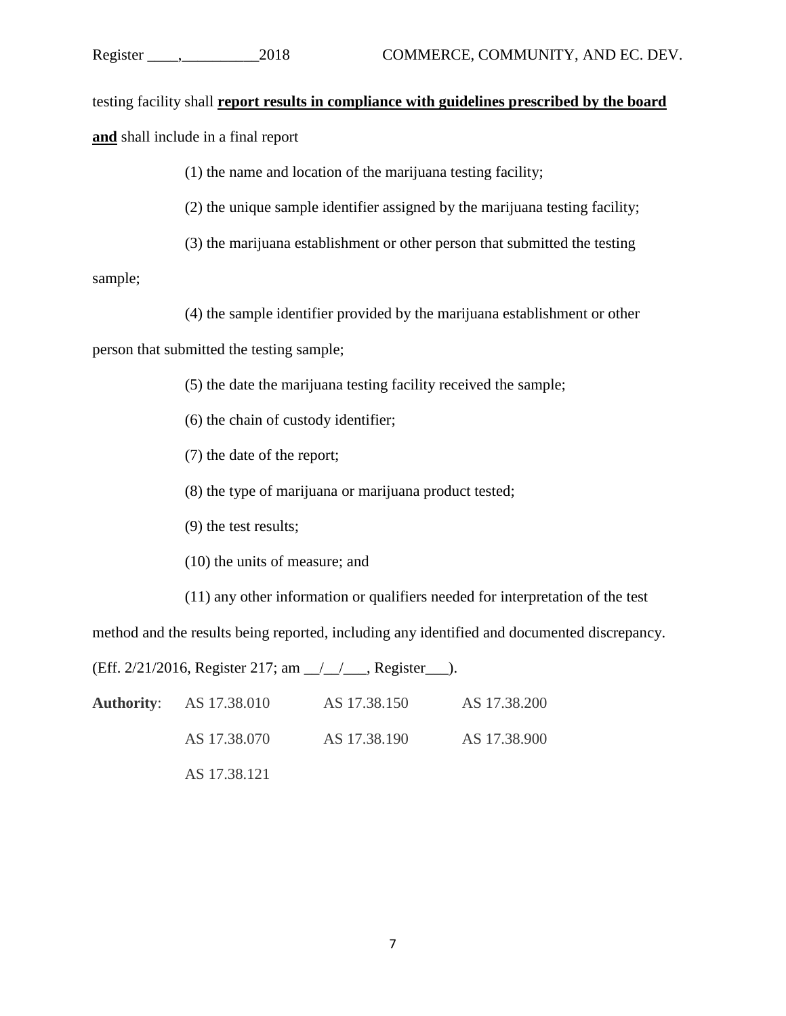testing facility shall **report results in compliance with guidelines prescribed by the board and** shall include in a final report

(1) the name and location of the marijuana testing facility;

(2) the unique sample identifier assigned by the marijuana testing facility;

(3) the marijuana establishment or other person that submitted the testing

sample;

(4) the sample identifier provided by the marijuana establishment or other

person that submitted the testing sample;

(5) the date the marijuana testing facility received the sample;

(6) the chain of custody identifier;

(7) the date of the report;

(8) the type of marijuana or marijuana product tested;

(9) the test results;

(10) the units of measure; and

(11) any other information or qualifiers needed for interpretation of the test

method and the results being reported, including any identified and documented discrepancy.

(Eff. 2/21/2016, Register 217; am \_\_/\_\_/\_\_\_, Register\_\_\_).

| <b>Authority:</b> AS 17.38.010 | AS 17.38.150 | AS 17.38.200 |
|--------------------------------|--------------|--------------|
| AS 17.38.070                   | AS 17.38.190 | AS 17.38.900 |
| AS 17.38.121                   |              |              |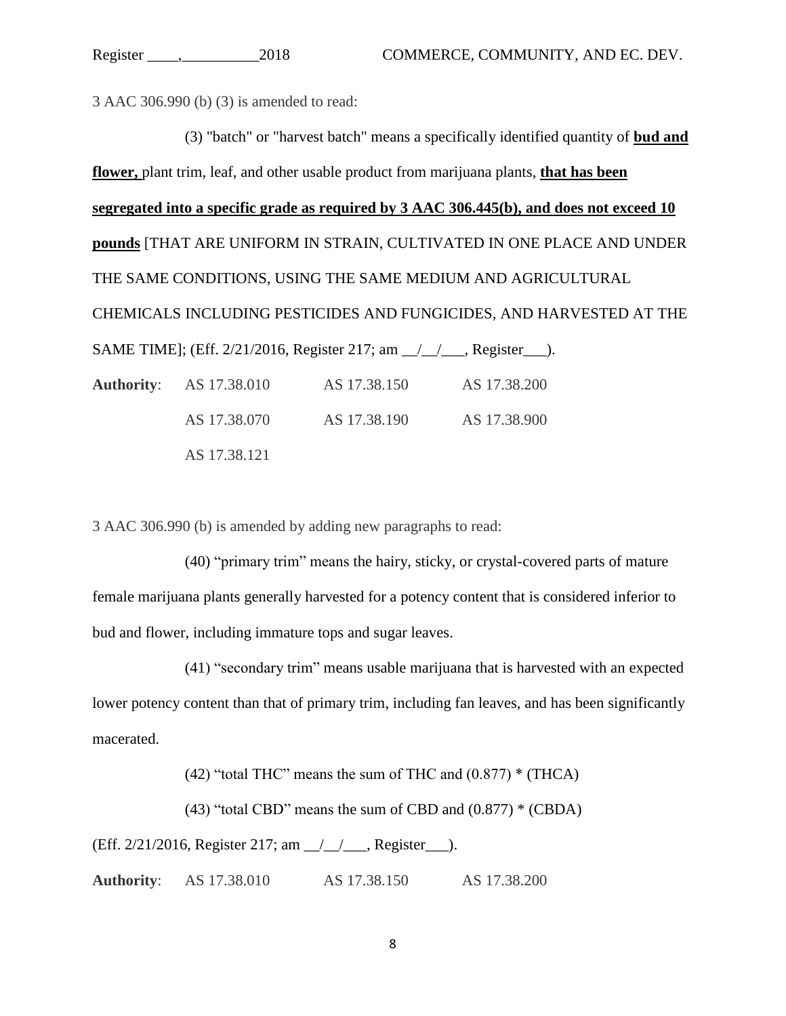3 AAC 306.990 (b) (3) is amended to read:

(3) "batch" or "harvest batch" means a specifically identified quantity of **bud and flower,** plant trim, leaf, and other usable product from marijuana plants, **that has been segregated into a specific grade as required by 3 AAC 306.445(b), and does not exceed 10 pounds** [THAT ARE UNIFORM IN STRAIN, CULTIVATED IN ONE PLACE AND UNDER THE SAME CONDITIONS, USING THE SAME MEDIUM AND AGRICULTURAL CHEMICALS INCLUDING PESTICIDES AND FUNGICIDES, AND HARVESTED AT THE SAME TIME]; (Eff. 2/21/2016, Register 217; am \_\_/\_\_/\_\_\_, Register\_\_\_). **Authority**: AS 17.38.010 AS 17.38.150 AS 17.38.200 AS 17.38.070 AS 17.38.190 AS 17.38.900

AS 17.38.121

3 AAC 306.990 (b) is amended by adding new paragraphs to read:

(40) "primary trim" means the hairy, sticky, or crystal-covered parts of mature female marijuana plants generally harvested for a potency content that is considered inferior to bud and flower, including immature tops and sugar leaves.

(41) "secondary trim" means usable marijuana that is harvested with an expected lower potency content than that of primary trim, including fan leaves, and has been significantly macerated.

(42) "total THC" means the sum of THC and  $(0.877)$  \* (THCA)

(43) "total CBD" means the sum of CBD and  $(0.877)$  \* (CBDA)

(Eff. 2/21/2016, Register 217; am \_\_/\_\_/\_\_\_, Register\_\_\_).

**Authority**: AS 17.38.010 AS 17.38.150 AS 17.38.200